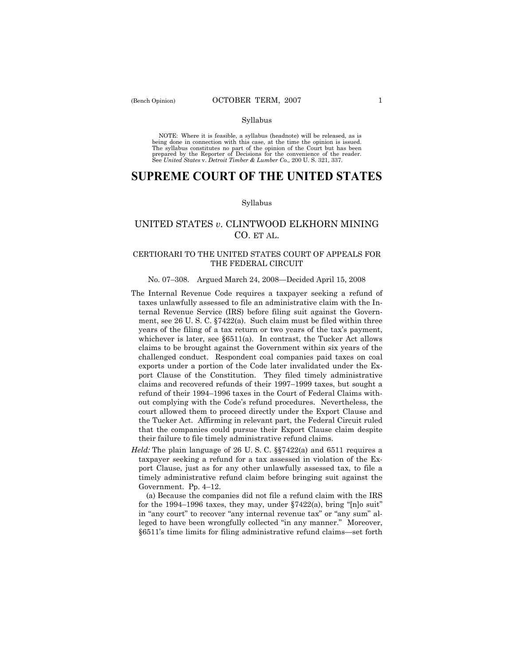#### Syllabus

NOTE: Where it is feasible, a syllabus (headnote) will be released, as is being done in connection with this case, at the time the opinion is issued. The syllabus constitutes no part of the opinion of the Court but has been<br>prepared by the Reporter of Decisions for the convenience of the reader.<br>See United States v. Detroit Timber & Lumber Co., 200 U. S. 321, 337.

# **SUPREME COURT OF THE UNITED STATES**

## Syllabus

## UNITED STATES *v*. CLINTWOOD ELKHORN MINING CO. ET AL.

## CERTIORARI TO THE UNITED STATES COURT OF APPEALS FOR THE FEDERAL CIRCUIT

## No. 07–308. Argued March 24, 2008—Decided April 15, 2008

- The Internal Revenue Code requires a taxpayer seeking a refund of taxes unlawfully assessed to file an administrative claim with the Internal Revenue Service (IRS) before filing suit against the Government, see 26 U. S. C. §7422(a). Such claim must be filed within three years of the filing of a tax return or two years of the tax's payment, whichever is later, see §6511(a). In contrast, the Tucker Act allows claims to be brought against the Government within six years of the challenged conduct. Respondent coal companies paid taxes on coal exports under a portion of the Code later invalidated under the Export Clause of the Constitution. They filed timely administrative claims and recovered refunds of their 1997–1999 taxes, but sought a refund of their 1994–1996 taxes in the Court of Federal Claims without complying with the Code's refund procedures. Nevertheless, the court allowed them to proceed directly under the Export Clause and the Tucker Act. Affirming in relevant part, the Federal Circuit ruled that the companies could pursue their Export Clause claim despite their failure to file timely administrative refund claims.
- *Held:* The plain language of 26 U. S. C. §§7422(a) and 6511 requires a taxpayer seeking a refund for a tax assessed in violation of the Export Clause, just as for any other unlawfully assessed tax, to file a timely administrative refund claim before bringing suit against the Government. Pp. 4–12.

 (a) Because the companies did not file a refund claim with the IRS for the 1994–1996 taxes, they may, under §7422(a), bring "[n]o suit" in "any court" to recover "any internal revenue tax" or "any sum" alleged to have been wrongfully collected "in any manner." Moreover, §6511's time limits for filing administrative refund claims—set forth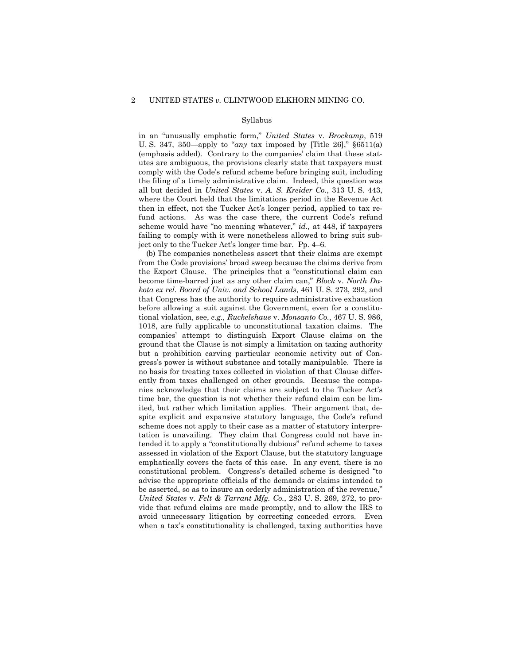### Syllabus

in an "unusually emphatic form," *United States* v. *Brockamp*, 519 U. S. 347, 350—apply to "*any* tax imposed by [Title 26]," §6511(a) (emphasis added). Contrary to the companies' claim that these statutes are ambiguous, the provisions clearly state that taxpayers must comply with the Code's refund scheme before bringing suit, including the filing of a timely administrative claim. Indeed, this question was all but decided in *United States* v. *A. S. Kreider Co.*, 313 U. S. 443, where the Court held that the limitations period in the Revenue Act then in effect, not the Tucker Act's longer period, applied to tax refund actions. As was the case there, the current Code's refund scheme would have "no meaning whatever," *id.,* at 448, if taxpayers failing to comply with it were nonetheless allowed to bring suit subject only to the Tucker Act's longer time bar. Pp. 4–6.

 (b) The companies nonetheless assert that their claims are exempt from the Code provisions' broad sweep because the claims derive from the Export Clause. The principles that a "constitutional claim can become time-barred just as any other claim can," *Block* v. *North Dakota ex rel. Board of Univ. and School Lands*, 461 U. S. 273, 292, and that Congress has the authority to require administrative exhaustion before allowing a suit against the Government, even for a constitutional violation, see, *e.g., Ruckelshaus* v. *Monsanto Co.*, 467 U. S. 986, 1018, are fully applicable to unconstitutional taxation claims. The companies' attempt to distinguish Export Clause claims on the ground that the Clause is not simply a limitation on taxing authority but a prohibition carving particular economic activity out of Congress's power is without substance and totally manipulable. There is no basis for treating taxes collected in violation of that Clause differently from taxes challenged on other grounds. Because the companies acknowledge that their claims are subject to the Tucker Act's time bar, the question is not whether their refund claim can be limited, but rather which limitation applies. Their argument that, despite explicit and expansive statutory language, the Code's refund scheme does not apply to their case as a matter of statutory interpretation is unavailing. They claim that Congress could not have intended it to apply a "constitutionally dubious" refund scheme to taxes assessed in violation of the Export Clause, but the statutory language emphatically covers the facts of this case. In any event, there is no constitutional problem. Congress's detailed scheme is designed "to advise the appropriate officials of the demands or claims intended to be asserted, so as to insure an orderly administration of the revenue," *United States* v. *Felt & Tarrant Mfg. Co.*, 283 U. S. 269, 272, to provide that refund claims are made promptly, and to allow the IRS to avoid unnecessary litigation by correcting conceded errors. Even when a tax's constitutionality is challenged, taxing authorities have